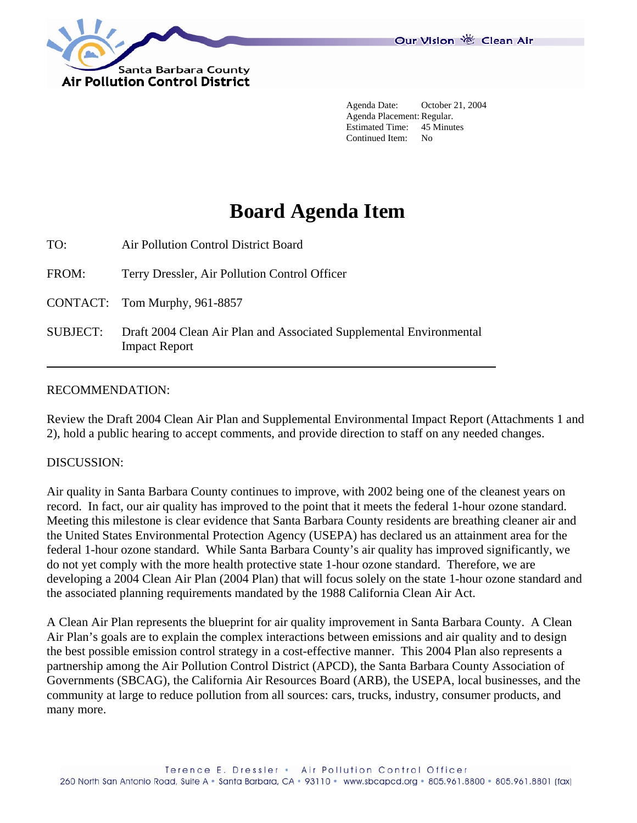

 Agenda Date: October 21, 2004 Agenda Placement: Regular. Estimated Time: 45 Minutes Continued Item: No

# **Board Agenda Item**

TO: Air Pollution Control District Board

FROM: Terry Dressler, Air Pollution Control Officer

CONTACT: Tom Murphy, 961-8857

SUBJECT: Draft 2004 Clean Air Plan and Associated Supplemental Environmental Impact Report

#### RECOMMENDATION:

Review the Draft 2004 Clean Air Plan and Supplemental Environmental Impact Report (Attachments 1 and 2), hold a public hearing to accept comments, and provide direction to staff on any needed changes.

#### DISCUSSION:

Air quality in Santa Barbara County continues to improve, with 2002 being one of the cleanest years on record. In fact, our air quality has improved to the point that it meets the federal 1-hour ozone standard. Meeting this milestone is clear evidence that Santa Barbara County residents are breathing cleaner air and the United States Environmental Protection Agency (USEPA) has declared us an attainment area for the federal 1-hour ozone standard. While Santa Barbara County's air quality has improved significantly, we do not yet comply with the more health protective state 1-hour ozone standard. Therefore, we are developing a 2004 Clean Air Plan (2004 Plan) that will focus solely on the state 1-hour ozone standard and the associated planning requirements mandated by the 1988 California Clean Air Act.

A Clean Air Plan represents the blueprint for air quality improvement in Santa Barbara County. A Clean Air Plan's goals are to explain the complex interactions between emissions and air quality and to design the best possible emission control strategy in a cost-effective manner. This 2004 Plan also represents a partnership among the Air Pollution Control District (APCD), the Santa Barbara County Association of Governments (SBCAG), the California Air Resources Board (ARB), the USEPA, local businesses, and the community at large to reduce pollution from all sources: cars, trucks, industry, consumer products, and many more.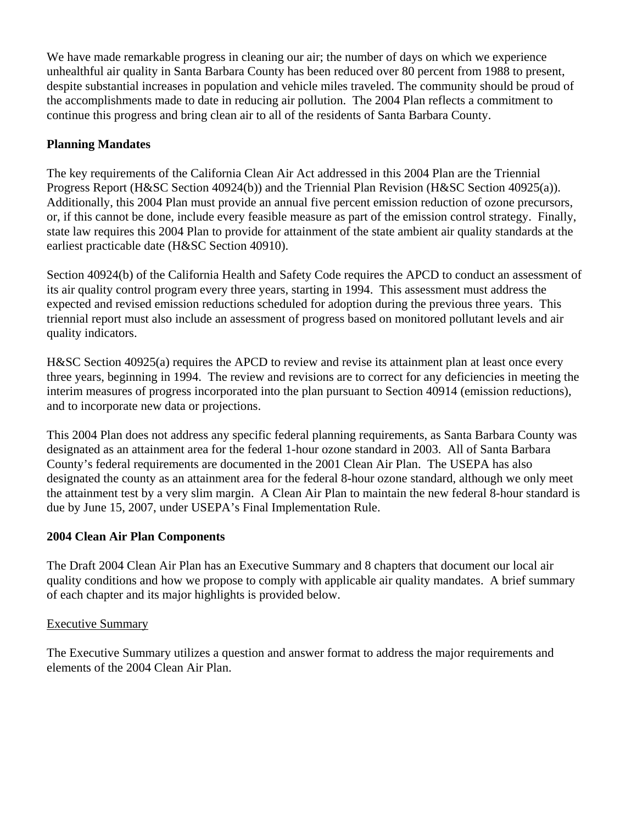We have made remarkable progress in cleaning our air; the number of days on which we experience unhealthful air quality in Santa Barbara County has been reduced over 80 percent from 1988 to present, despite substantial increases in population and vehicle miles traveled. The community should be proud of the accomplishments made to date in reducing air pollution. The 2004 Plan reflects a commitment to continue this progress and bring clean air to all of the residents of Santa Barbara County.

## **Planning Mandates**

The key requirements of the California Clean Air Act addressed in this 2004 Plan are the Triennial Progress Report (H&SC Section 40924(b)) and the Triennial Plan Revision (H&SC Section 40925(a)). Additionally, this 2004 Plan must provide an annual five percent emission reduction of ozone precursors, or, if this cannot be done, include every feasible measure as part of the emission control strategy. Finally, state law requires this 2004 Plan to provide for attainment of the state ambient air quality standards at the earliest practicable date (H&SC Section 40910).

Section 40924(b) of the California Health and Safety Code requires the APCD to conduct an assessment of its air quality control program every three years, starting in 1994. This assessment must address the expected and revised emission reductions scheduled for adoption during the previous three years. This triennial report must also include an assessment of progress based on monitored pollutant levels and air quality indicators.

H&SC Section 40925(a) requires the APCD to review and revise its attainment plan at least once every three years, beginning in 1994. The review and revisions are to correct for any deficiencies in meeting the interim measures of progress incorporated into the plan pursuant to Section 40914 (emission reductions), and to incorporate new data or projections.

This 2004 Plan does not address any specific federal planning requirements, as Santa Barbara County was designated as an attainment area for the federal 1-hour ozone standard in 2003. All of Santa Barbara County's federal requirements are documented in the 2001 Clean Air Plan. The USEPA has also designated the county as an attainment area for the federal 8-hour ozone standard, although we only meet the attainment test by a very slim margin. A Clean Air Plan to maintain the new federal 8-hour standard is due by June 15, 2007, under USEPA's Final Implementation Rule.

#### **2004 Clean Air Plan Components**

The Draft 2004 Clean Air Plan has an Executive Summary and 8 chapters that document our local air quality conditions and how we propose to comply with applicable air quality mandates. A brief summary of each chapter and its major highlights is provided below.

#### Executive Summary

The Executive Summary utilizes a question and answer format to address the major requirements and elements of the 2004 Clean Air Plan.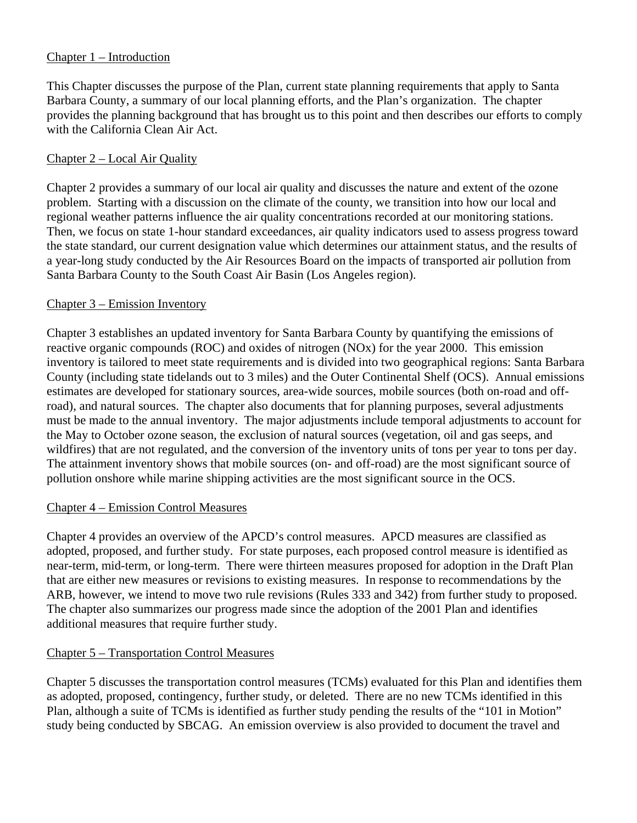#### Chapter 1 – Introduction

This Chapter discusses the purpose of the Plan, current state planning requirements that apply to Santa Barbara County, a summary of our local planning efforts, and the Plan's organization. The chapter provides the planning background that has brought us to this point and then describes our efforts to comply with the California Clean Air Act.

#### Chapter 2 – Local Air Quality

Chapter 2 provides a summary of our local air quality and discusses the nature and extent of the ozone problem. Starting with a discussion on the climate of the county, we transition into how our local and regional weather patterns influence the air quality concentrations recorded at our monitoring stations. Then, we focus on state 1-hour standard exceedances, air quality indicators used to assess progress toward the state standard, our current designation value which determines our attainment status, and the results of a year-long study conducted by the Air Resources Board on the impacts of transported air pollution from Santa Barbara County to the South Coast Air Basin (Los Angeles region).

#### Chapter 3 – Emission Inventory

Chapter 3 establishes an updated inventory for Santa Barbara County by quantifying the emissions of reactive organic compounds (ROC) and oxides of nitrogen (NOx) for the year 2000. This emission inventory is tailored to meet state requirements and is divided into two geographical regions: Santa Barbara County (including state tidelands out to 3 miles) and the Outer Continental Shelf (OCS). Annual emissions estimates are developed for stationary sources, area-wide sources, mobile sources (both on-road and offroad), and natural sources. The chapter also documents that for planning purposes, several adjustments must be made to the annual inventory. The major adjustments include temporal adjustments to account for the May to October ozone season, the exclusion of natural sources (vegetation, oil and gas seeps, and wildfires) that are not regulated, and the conversion of the inventory units of tons per year to tons per day. The attainment inventory shows that mobile sources (on- and off-road) are the most significant source of pollution onshore while marine shipping activities are the most significant source in the OCS.

#### Chapter 4 – Emission Control Measures

Chapter 4 provides an overview of the APCD's control measures. APCD measures are classified as adopted, proposed, and further study. For state purposes, each proposed control measure is identified as near-term, mid-term, or long-term. There were thirteen measures proposed for adoption in the Draft Plan that are either new measures or revisions to existing measures. In response to recommendations by the ARB, however, we intend to move two rule revisions (Rules 333 and 342) from further study to proposed. The chapter also summarizes our progress made since the adoption of the 2001 Plan and identifies additional measures that require further study.

#### Chapter 5 – Transportation Control Measures

Chapter 5 discusses the transportation control measures (TCMs) evaluated for this Plan and identifies them as adopted, proposed, contingency, further study, or deleted. There are no new TCMs identified in this Plan, although a suite of TCMs is identified as further study pending the results of the "101 in Motion" study being conducted by SBCAG. An emission overview is also provided to document the travel and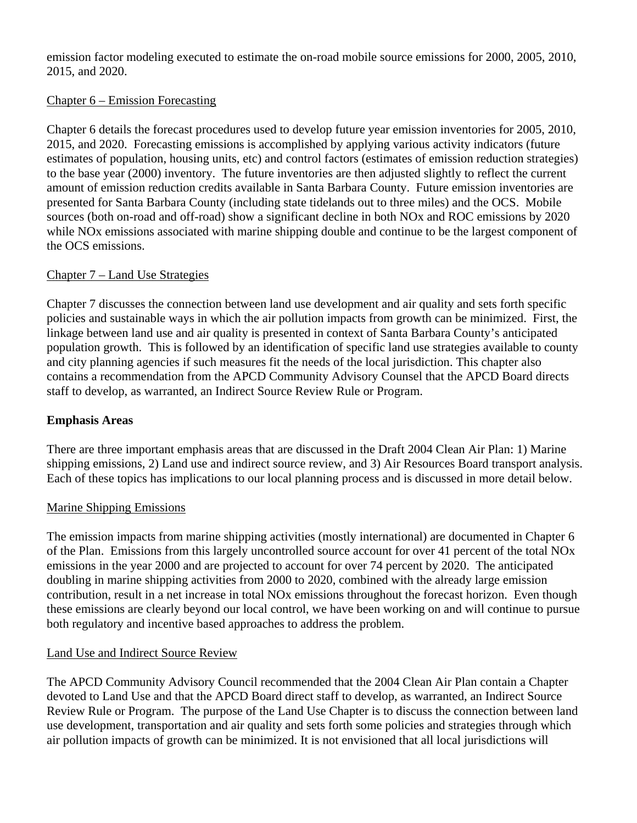emission factor modeling executed to estimate the on-road mobile source emissions for 2000, 2005, 2010, 2015, and 2020.

## Chapter 6 – Emission Forecasting

Chapter 6 details the forecast procedures used to develop future year emission inventories for 2005, 2010, 2015, and 2020. Forecasting emissions is accomplished by applying various activity indicators (future estimates of population, housing units, etc) and control factors (estimates of emission reduction strategies) to the base year (2000) inventory. The future inventories are then adjusted slightly to reflect the current amount of emission reduction credits available in Santa Barbara County. Future emission inventories are presented for Santa Barbara County (including state tidelands out to three miles) and the OCS. Mobile sources (both on-road and off-road) show a significant decline in both NOx and ROC emissions by 2020 while NOx emissions associated with marine shipping double and continue to be the largest component of the OCS emissions.

#### Chapter 7 – Land Use Strategies

Chapter 7 discusses the connection between land use development and air quality and sets forth specific policies and sustainable ways in which the air pollution impacts from growth can be minimized. First, the linkage between land use and air quality is presented in context of Santa Barbara County's anticipated population growth. This is followed by an identification of specific land use strategies available to county and city planning agencies if such measures fit the needs of the local jurisdiction. This chapter also contains a recommendation from the APCD Community Advisory Counsel that the APCD Board directs staff to develop, as warranted, an Indirect Source Review Rule or Program.

# **Emphasis Areas**

There are three important emphasis areas that are discussed in the Draft 2004 Clean Air Plan: 1) Marine shipping emissions, 2) Land use and indirect source review, and 3) Air Resources Board transport analysis. Each of these topics has implications to our local planning process and is discussed in more detail below.

# Marine Shipping Emissions

The emission impacts from marine shipping activities (mostly international) are documented in Chapter 6 of the Plan. Emissions from this largely uncontrolled source account for over 41 percent of the total NOx emissions in the year 2000 and are projected to account for over 74 percent by 2020. The anticipated doubling in marine shipping activities from 2000 to 2020, combined with the already large emission contribution, result in a net increase in total NOx emissions throughout the forecast horizon. Even though these emissions are clearly beyond our local control, we have been working on and will continue to pursue both regulatory and incentive based approaches to address the problem.

#### Land Use and Indirect Source Review

The APCD Community Advisory Council recommended that the 2004 Clean Air Plan contain a Chapter devoted to Land Use and that the APCD Board direct staff to develop, as warranted, an Indirect Source Review Rule or Program. The purpose of the Land Use Chapter is to discuss the connection between land use development, transportation and air quality and sets forth some policies and strategies through which air pollution impacts of growth can be minimized. It is not envisioned that all local jurisdictions will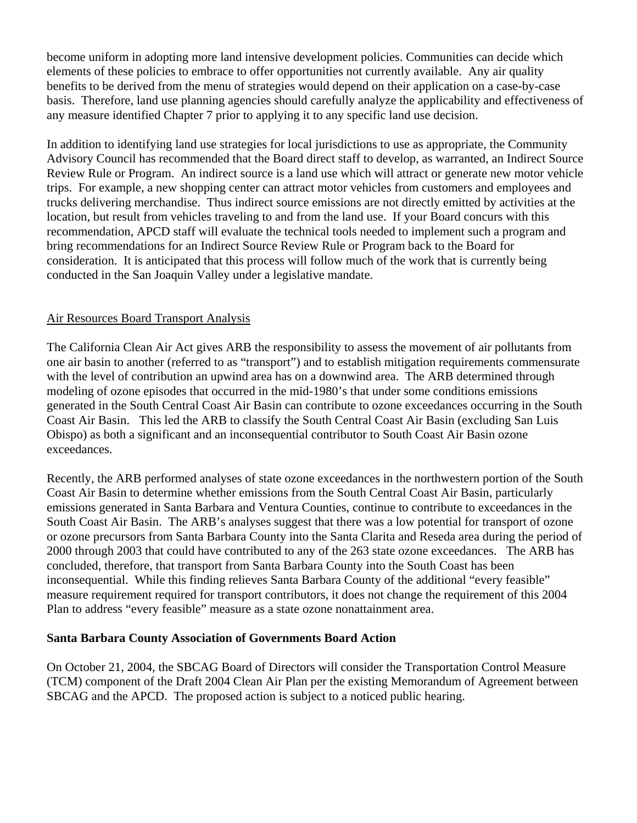become uniform in adopting more land intensive development policies. Communities can decide which elements of these policies to embrace to offer opportunities not currently available. Any air quality benefits to be derived from the menu of strategies would depend on their application on a case-by-case basis. Therefore, land use planning agencies should carefully analyze the applicability and effectiveness of any measure identified Chapter 7 prior to applying it to any specific land use decision.

In addition to identifying land use strategies for local jurisdictions to use as appropriate, the Community Advisory Council has recommended that the Board direct staff to develop, as warranted, an Indirect Source Review Rule or Program. An indirect source is a land use which will attract or generate new motor vehicle trips. For example, a new shopping center can attract motor vehicles from customers and employees and trucks delivering merchandise. Thus indirect source emissions are not directly emitted by activities at the location, but result from vehicles traveling to and from the land use. If your Board concurs with this recommendation, APCD staff will evaluate the technical tools needed to implement such a program and bring recommendations for an Indirect Source Review Rule or Program back to the Board for consideration. It is anticipated that this process will follow much of the work that is currently being conducted in the San Joaquin Valley under a legislative mandate.

#### Air Resources Board Transport Analysis

The California Clean Air Act gives ARB the responsibility to assess the movement of air pollutants from one air basin to another (referred to as "transport") and to establish mitigation requirements commensurate with the level of contribution an upwind area has on a downwind area. The ARB determined through modeling of ozone episodes that occurred in the mid-1980's that under some conditions emissions generated in the South Central Coast Air Basin can contribute to ozone exceedances occurring in the South Coast Air Basin. This led the ARB to classify the South Central Coast Air Basin (excluding San Luis Obispo) as both a significant and an inconsequential contributor to South Coast Air Basin ozone exceedances.

Recently, the ARB performed analyses of state ozone exceedances in the northwestern portion of the South Coast Air Basin to determine whether emissions from the South Central Coast Air Basin, particularly emissions generated in Santa Barbara and Ventura Counties, continue to contribute to exceedances in the South Coast Air Basin. The ARB's analyses suggest that there was a low potential for transport of ozone or ozone precursors from Santa Barbara County into the Santa Clarita and Reseda area during the period of 2000 through 2003 that could have contributed to any of the 263 state ozone exceedances. The ARB has concluded, therefore, that transport from Santa Barbara County into the South Coast has been inconsequential. While this finding relieves Santa Barbara County of the additional "every feasible" measure requirement required for transport contributors, it does not change the requirement of this 2004 Plan to address "every feasible" measure as a state ozone nonattainment area.

#### **Santa Barbara County Association of Governments Board Action**

On October 21, 2004, the SBCAG Board of Directors will consider the Transportation Control Measure (TCM) component of the Draft 2004 Clean Air Plan per the existing Memorandum of Agreement between SBCAG and the APCD. The proposed action is subject to a noticed public hearing.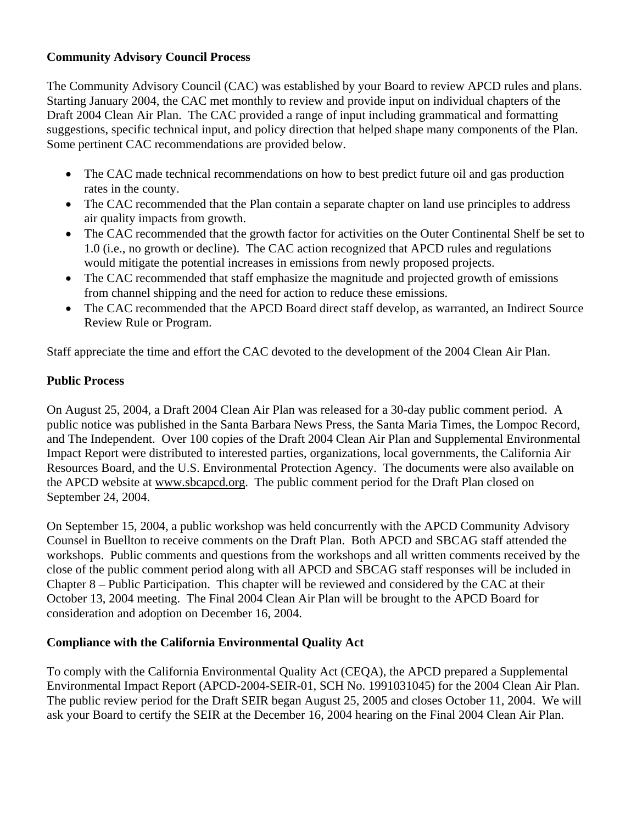## **Community Advisory Council Process**

The Community Advisory Council (CAC) was established by your Board to review APCD rules and plans. Starting January 2004, the CAC met monthly to review and provide input on individual chapters of the Draft 2004 Clean Air Plan. The CAC provided a range of input including grammatical and formatting suggestions, specific technical input, and policy direction that helped shape many components of the Plan. Some pertinent CAC recommendations are provided below.

- The CAC made technical recommendations on how to best predict future oil and gas production rates in the county.
- The CAC recommended that the Plan contain a separate chapter on land use principles to address air quality impacts from growth.
- The CAC recommended that the growth factor for activities on the Outer Continental Shelf be set to 1.0 (i.e., no growth or decline). The CAC action recognized that APCD rules and regulations would mitigate the potential increases in emissions from newly proposed projects.
- The CAC recommended that staff emphasize the magnitude and projected growth of emissions from channel shipping and the need for action to reduce these emissions.
- The CAC recommended that the APCD Board direct staff develop, as warranted, an Indirect Source Review Rule or Program.

Staff appreciate the time and effort the CAC devoted to the development of the 2004 Clean Air Plan.

## **Public Process**

On August 25, 2004, a Draft 2004 Clean Air Plan was released for a 30-day public comment period. A public notice was published in the Santa Barbara News Press, the Santa Maria Times, the Lompoc Record, and The Independent. Over 100 copies of the Draft 2004 Clean Air Plan and Supplemental Environmental Impact Report were distributed to interested parties, organizations, local governments, the California Air Resources Board, and the U.S. Environmental Protection Agency. The documents were also available on the APCD website at www.sbcapcd.org. The public comment period for the Draft Plan closed on September 24, 2004.

On September 15, 2004, a public workshop was held concurrently with the APCD Community Advisory Counsel in Buellton to receive comments on the Draft Plan. Both APCD and SBCAG staff attended the workshops. Public comments and questions from the workshops and all written comments received by the close of the public comment period along with all APCD and SBCAG staff responses will be included in Chapter 8 – Public Participation. This chapter will be reviewed and considered by the CAC at their October 13, 2004 meeting. The Final 2004 Clean Air Plan will be brought to the APCD Board for consideration and adoption on December 16, 2004.

# **Compliance with the California Environmental Quality Act**

To comply with the California Environmental Quality Act (CEQA), the APCD prepared a Supplemental Environmental Impact Report (APCD-2004-SEIR-01, SCH No. 1991031045) for the 2004 Clean Air Plan. The public review period for the Draft SEIR began August 25, 2005 and closes October 11, 2004. We will ask your Board to certify the SEIR at the December 16, 2004 hearing on the Final 2004 Clean Air Plan.